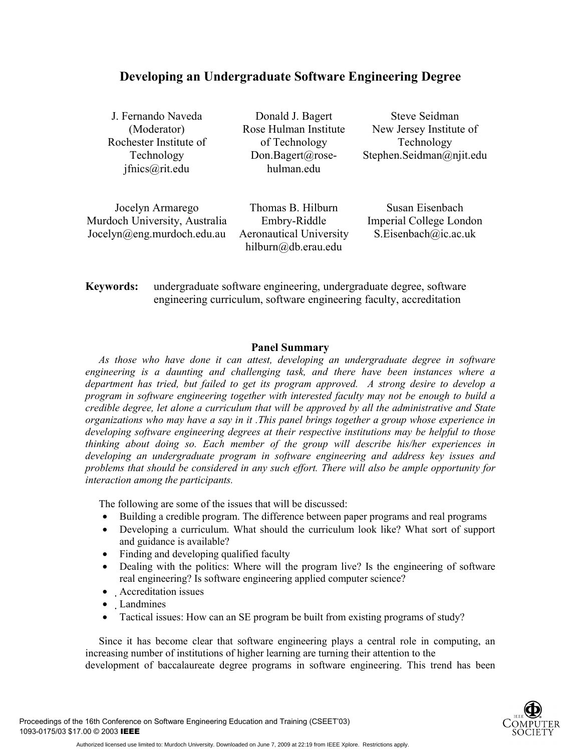# **Developing an Undergraduate Software Engineering Degree**

| J. Fernando Naveda     | Donald J. Bagert      | Steve Seidman            |
|------------------------|-----------------------|--------------------------|
| (Moderator)            | Rose Hulman Institute | New Jersey Institute of  |
| Rochester Institute of | of Technology         | Technology               |
| Technology             | Don.Bagert@rose-      | Stephen.Seidman@njit.edu |
| jfnics@rit.edu         | hulman.edu            |                          |
|                        |                       |                          |

Jocelyn Armarego Murdoch University, Australia Jocelyn@eng.murdoch.edu.au

Thomas B. Hilburn Embry-Riddle Aeronautical University hilburn@db.erau.edu

Susan Eisenbach Imperial College London S.Eisenbach@ic.ac.uk

**Keywords:** undergraduate software engineering, undergraduate degree, software engineering curriculum, software engineering faculty, accreditation

# **Panel Summary**

*As those who have done it can attest, developing an undergraduate degree in software engineering is a daunting and challenging task, and there have been instances where a department has tried, but failed to get its program approved. A strong desire to develop a program in software engineering together with interested faculty may not be enough to build a credible degree, let alone a curriculum that will be approved by all the administrative and State organizations who may have a say in it .This panel brings together a group whose experience in developing software engineering degrees at their respective institutions may be helpful to those thinking about doing so. Each member of the group will describe his/her experiences in developing an undergraduate program in software engineering and address key issues and problems that should be considered in any such effort. There will also be ample opportunity for interaction among the participants.* 

The following are some of the issues that will be discussed:

- Building a credible program. The difference between paper programs and real programs
- Developing a curriculum. What should the curriculum look like? What sort of support and guidance is available?
- Finding and developing qualified faculty
- Dealing with the politics: Where will the program live? Is the engineering of software real engineering? Is software engineering applied computer science?
- Accreditation issues
- Landmines
- Tactical issues: How can an SE program be built from existing programs of study?

Since it has become clear that software engineering plays a central role in computing, an increasing number of institutions of higher learning are turning their attention to the development of baccalaureate degree programs in software engineering. This trend has been



Authorized licensed use limited to: Murdoch University. Downloaded on June 7, 2009 at 22:19 from IEEE Xplore. Restrictions apply.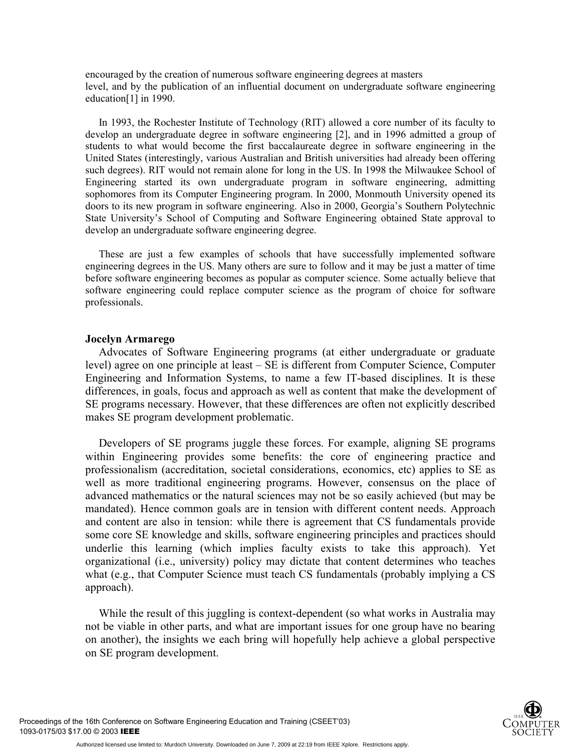encouraged by the creation of numerous software engineering degrees at masters level, and by the publication of an influential document on undergraduate software engineering education[1] in 1990.

In 1993, the Rochester Institute of Technology (RIT) allowed a core number of its faculty to develop an undergraduate degree in software engineering [2], and in 1996 admitted a group of students to what would become the first baccalaureate degree in software engineering in the United States (interestingly, various Australian and British universities had already been offering such degrees). RIT would not remain alone for long in the US. In 1998 the Milwaukee School of Engineering started its own undergraduate program in software engineering, admitting sophomores from its Computer Engineering program. In 2000, Monmouth University opened its doors to its new program in software engineering. Also in 2000, Georgia's Southern Polytechnic State University's School of Computing and Software Engineering obtained State approval to develop an undergraduate software engineering degree.

These are just a few examples of schools that have successfully implemented software engineering degrees in the US. Many others are sure to follow and it may be just a matter of time before software engineering becomes as popular as computer science. Some actually believe that software engineering could replace computer science as the program of choice for software professionals.

### **Jocelyn Armarego**

Advocates of Software Engineering programs (at either undergraduate or graduate level) agree on one principle at least – SE is different from Computer Science, Computer Engineering and Information Systems, to name a few IT-based disciplines. It is these differences, in goals, focus and approach as well as content that make the development of SE programs necessary. However, that these differences are often not explicitly described makes SE program development problematic.

Developers of SE programs juggle these forces. For example, aligning SE programs within Engineering provides some benefits: the core of engineering practice and professionalism (accreditation, societal considerations, economics, etc) applies to SE as well as more traditional engineering programs. However, consensus on the place of advanced mathematics or the natural sciences may not be so easily achieved (but may be mandated). Hence common goals are in tension with different content needs. Approach and content are also in tension: while there is agreement that CS fundamentals provide some core SE knowledge and skills, software engineering principles and practices should underlie this learning (which implies faculty exists to take this approach). Yet organizational (i.e., university) policy may dictate that content determines who teaches what (e.g., that Computer Science must teach CS fundamentals (probably implying a CS approach).

While the result of this juggling is context-dependent (so what works in Australia may not be viable in other parts, and what are important issues for one group have no bearing on another), the insights we each bring will hopefully help achieve a global perspective on SE program development.

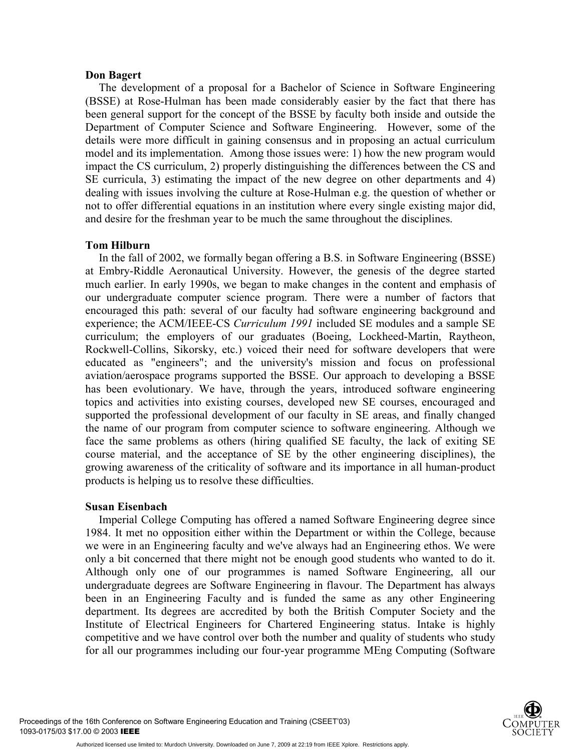# **Don Bagert**

The development of a proposal for a Bachelor of Science in Software Engineering (BSSE) at Rose-Hulman has been made considerably easier by the fact that there has been general support for the concept of the BSSE by faculty both inside and outside the Department of Computer Science and Software Engineering. However, some of the details were more difficult in gaining consensus and in proposing an actual curriculum model and its implementation. Among those issues were: 1) how the new program would impact the CS curriculum, 2) properly distinguishing the differences between the CS and SE curricula, 3) estimating the impact of the new degree on other departments and 4) dealing with issues involving the culture at Rose-Hulman e.g. the question of whether or not to offer differential equations in an institution where every single existing major did, and desire for the freshman year to be much the same throughout the disciplines.

# **Tom Hilburn**

In the fall of 2002, we formally began offering a B.S. in Software Engineering (BSSE) at Embry-Riddle Aeronautical University. However, the genesis of the degree started much earlier. In early 1990s, we began to make changes in the content and emphasis of our undergraduate computer science program. There were a number of factors that encouraged this path: several of our faculty had software engineering background and experience; the ACM/IEEE-CS *Curriculum 1991* included SE modules and a sample SE curriculum; the employers of our graduates (Boeing, Lockheed-Martin, Raytheon, Rockwell-Collins, Sikorsky, etc.) voiced their need for software developers that were educated as "engineers"; and the university's mission and focus on professional aviation/aerospace programs supported the BSSE. Our approach to developing a BSSE has been evolutionary. We have, through the years, introduced software engineering topics and activities into existing courses, developed new SE courses, encouraged and supported the professional development of our faculty in SE areas, and finally changed the name of our program from computer science to software engineering. Although we face the same problems as others (hiring qualified SE faculty, the lack of exiting SE course material, and the acceptance of SE by the other engineering disciplines), the growing awareness of the criticality of software and its importance in all human-product products is helping us to resolve these difficulties.

### **Susan Eisenbach**

Imperial College Computing has offered a named Software Engineering degree since 1984. It met no opposition either within the Department or within the College, because we were in an Engineering faculty and we've always had an Engineering ethos. We were only a bit concerned that there might not be enough good students who wanted to do it. Although only one of our programmes is named Software Engineering, all our undergraduate degrees are Software Engineering in flavour. The Department has always been in an Engineering Faculty and is funded the same as any other Engineering department. Its degrees are accredited by both the British Computer Society and the Institute of Electrical Engineers for Chartered Engineering status. Intake is highly competitive and we have control over both the number and quality of students who study for all our programmes including our four-year programme MEng Computing (Software